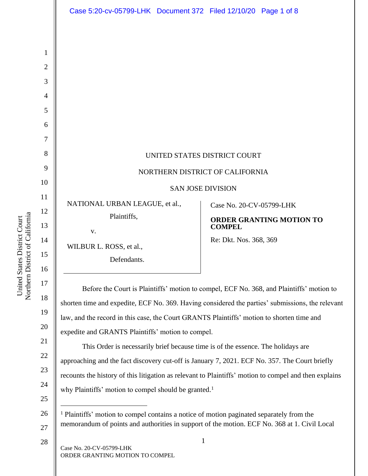| Case 5:20-cv-05799-LHK Document 372 Filed 12/10/20 Page 1 of 8                                |                                                                                                                                                                                              |
|-----------------------------------------------------------------------------------------------|----------------------------------------------------------------------------------------------------------------------------------------------------------------------------------------------|
|                                                                                               |                                                                                                                                                                                              |
|                                                                                               | UNITED STATES DISTRICT COURT<br>NORTHERN DISTRICT OF CALIFORNIA<br><b>SAN JOSE DIVISION</b>                                                                                                  |
| NATIONAL URBAN LEAGUE, et al.,<br>Plaintiffs,<br>V.<br>WILBUR L. ROSS, et al.,<br>Defendants. | Case No. 20-CV-05799-LHK<br><b>ORDER GRANTING MOTION TO</b><br><b>COMPEL</b><br>Re: Dkt. Nos. 368, 369                                                                                       |
|                                                                                               | Before the Court is Plaintiffs' motion to compel, ECF No. 368, and Plaintiffs' motion to<br>shorten time and expedite, ECF No. 369. Having considered the parties' submissions, the relevant |

law, and the record in this case, the Court GRANTS Plaintiffs' motion to shorten time and

expedite and GRANTS Plaintiffs' motion to compel.

This Order is necessarily brief because time is of the essence. The holidays are approaching and the fact discovery cut-off is January 7, 2021. ECF No. 357. The Court briefly recounts the history of this litigation as relevant to Plaintiffs' motion to compel and then explains why Plaintiffs' motion to compel should be granted.<sup>1</sup>

26 27 <sup>1</sup> Plaintiffs' motion to compel contains a notice of motion paginated separately from the memorandum of points and authorities in support of the motion. ECF No. 368 at 1. Civil Local

28

1

2

3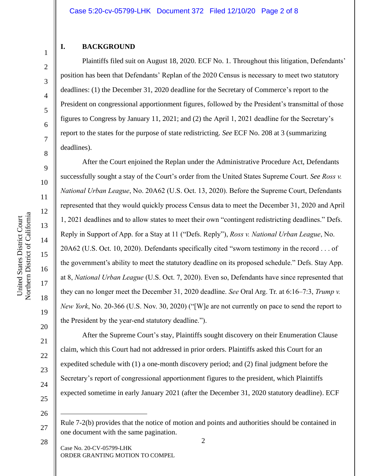## **I. BACKGROUND**

1

2

3

4

5

6

7

8

9

10

11

12

13

14

15

16

17

18

19

20

21

22

23

24

25

Plaintiffs filed suit on August 18, 2020. ECF No. 1. Throughout this litigation, Defendants' position has been that Defendants' Replan of the 2020 Census is necessary to meet two statutory deadlines: (1) the December 31, 2020 deadline for the Secretary of Commerce's report to the President on congressional apportionment figures, followed by the President's transmittal of those figures to Congress by January 11, 2021; and (2) the April 1, 2021 deadline for the Secretary's report to the states for the purpose of state redistricting. *See* ECF No. 208 at 3 (summarizing deadlines).

After the Court enjoined the Replan under the Administrative Procedure Act, Defendants successfully sought a stay of the Court's order from the United States Supreme Court. *See Ross v. National Urban League*, No. 20A62 (U.S. Oct. 13, 2020). Before the Supreme Court, Defendants represented that they would quickly process Census data to meet the December 31, 2020 and April 1, 2021 deadlines and to allow states to meet their own "contingent redistricting deadlines." Defs. Reply in Support of App. for a Stay at 11 ("Defs. Reply"), *Ross v. National Urban League*, No. 20A62 (U.S. Oct. 10, 2020). Defendants specifically cited "sworn testimony in the record . . . of the government's ability to meet the statutory deadline on its proposed schedule." Defs. Stay App. at 8, *National Urban League* (U.S. Oct. 7, 2020). Even so, Defendants have since represented that they can no longer meet the December 31, 2020 deadline. *See* Oral Arg. Tr. at 6:16–7:3, *Trump v. New York*, No. 20-366 (U.S. Nov. 30, 2020) ("[W]e are not currently on pace to send the report to the President by the year-end statutory deadline.").

After the Supreme Court's stay, Plaintiffs sought discovery on their Enumeration Clause claim, which this Court had not addressed in prior orders. Plaintiffs asked this Court for an expedited schedule with (1) a one-month discovery period; and (2) final judgment before the Secretary's report of congressional apportionment figures to the president, which Plaintiffs expected sometime in early January 2021 (after the December 31, 2020 statutory deadline). ECF

26

 $\mathcal{L}$ 

Case No. 20-CV-05799-LHK ORDER GRANTING MOTION TO COMPEL

Rule 7-2(b) provides that the notice of motion and points and authorities should be contained in one document with the same pagination.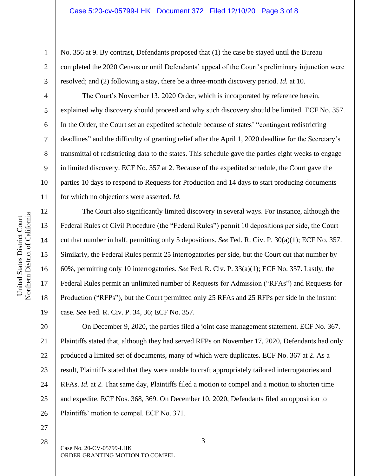No. 356 at 9. By contrast, Defendants proposed that (1) the case be stayed until the Bureau completed the 2020 Census or until Defendants' appeal of the Court's preliminary injunction were resolved; and (2) following a stay, there be a three-month discovery period. *Id.* at 10.

The Court's November 13, 2020 Order, which is incorporated by reference herein, explained why discovery should proceed and why such discovery should be limited. ECF No. 357. In the Order, the Court set an expedited schedule because of states' "contingent redistricting deadlines" and the difficulty of granting relief after the April 1, 2020 deadline for the Secretary's transmittal of redistricting data to the states. This schedule gave the parties eight weeks to engage in limited discovery. ECF No. 357 at 2. Because of the expedited schedule, the Court gave the parties 10 days to respond to Requests for Production and 14 days to start producing documents for which no objections were asserted. *Id.* 

16 The Court also significantly limited discovery in several ways. For instance, although the Federal Rules of Civil Procedure (the "Federal Rules") permit 10 depositions per side, the Court cut that number in half, permitting only 5 depositions. *See* Fed. R. Civ. P. 30(a)(1); ECF No. 357. Similarly, the Federal Rules permit 25 interrogatories per side, but the Court cut that number by 60%, permitting only 10 interrogatories. *See* Fed. R. Civ. P. 33(a)(1); ECF No. 357. Lastly, the Federal Rules permit an unlimited number of Requests for Admission ("RFAs") and Requests for Production ("RFPs"), but the Court permitted only 25 RFAs and 25 RFPs per side in the instant case. *See* Fed. R. Civ. P. 34, 36; ECF No. 357.

20 21 22 23 24 25 26 On December 9, 2020, the parties filed a joint case management statement. ECF No. 367. Plaintiffs stated that, although they had served RFPs on November 17, 2020, Defendants had only produced a limited set of documents, many of which were duplicates. ECF No. 367 at 2. As a result, Plaintiffs stated that they were unable to craft appropriately tailored interrogatories and RFAs. *Id.* at 2. That same day, Plaintiffs filed a motion to compel and a motion to shorten time and expedite. ECF Nos. 368, 369. On December 10, 2020, Defendants filed an opposition to Plaintiffs' motion to compel. ECF No. 371.

27 28

Case No. 20-CV-05799-LHK ORDER GRANTING MOTION TO COMPEL

1

2

3

4

5

6

7

8

9

10

11

12

13

14

15

17

18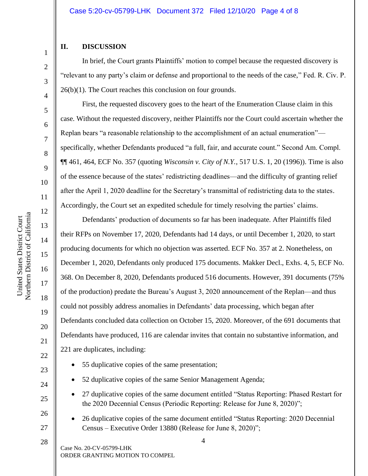### **II. DISCUSSION**

1

2

3

4

5

6

7

8

9

10

11

12

13

14

15

16

17

18

19

20

21

22

In brief, the Court grants Plaintiffs' motion to compel because the requested discovery is "relevant to any party's claim or defense and proportional to the needs of the case," Fed. R. Civ. P. 26(b)(1). The Court reaches this conclusion on four grounds.

First, the requested discovery goes to the heart of the Enumeration Clause claim in this case. Without the requested discovery, neither Plaintiffs nor the Court could ascertain whether the Replan bears "a reasonable relationship to the accomplishment of an actual enumeration" specifically, whether Defendants produced "a full, fair, and accurate count." Second Am. Compl. ¶¶ 461, 464, ECF No. 357 (quoting *Wisconsin v. City of N.Y.*, 517 U.S. 1, 20 (1996)). Time is also of the essence because of the states' redistricting deadlines—and the difficulty of granting relief after the April 1, 2020 deadline for the Secretary's transmittal of redistricting data to the states. Accordingly, the Court set an expedited schedule for timely resolving the parties' claims.

Defendants' production of documents so far has been inadequate. After Plaintiffs filed their RFPs on November 17, 2020, Defendants had 14 days, or until December 1, 2020, to start producing documents for which no objection was asserted. ECF No. 357 at 2. Nonetheless, on December 1, 2020, Defendants only produced 175 documents. Makker Decl., Exhs. 4, 5, ECF No. 368. On December 8, 2020, Defendants produced 516 documents. However, 391 documents (75% of the production) predate the Bureau's August 3, 2020 announcement of the Replan—and thus could not possibly address anomalies in Defendants' data processing, which began after Defendants concluded data collection on October 15, 2020. Moreover, of the 691 documents that Defendants have produced, 116 are calendar invites that contain no substantive information, and 221 are duplicates, including:

- 55 duplicative copies of the same presentation;
- 52 duplicative copies of the same Senior Management Agenda;
- 27 duplicative copies of the same document entitled "Status Reporting: Phased Restart for the 2020 Decennial Census (Periodic Reporting: Release for June 8, 2020)";
- 26 duplicative copies of the same document entitled "Status Reporting: 2020 Decennial Census – Executive Order 13880 (Release for June 8, 2020)";

Case No. 20-CV-05799-LHK ORDER GRANTING MOTION TO COMPEL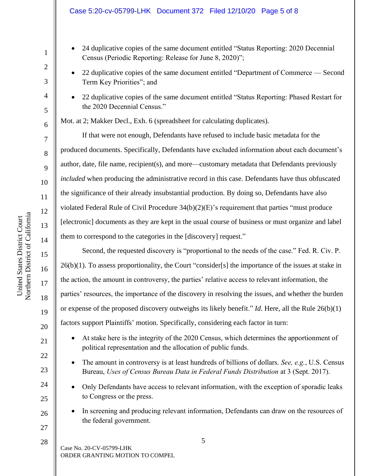- 24 duplicative copies of the same document entitled "Status Reporting: 2020 Decennial Census (Periodic Reporting: Release for June 8, 2020)";
- 22 duplicative copies of the same document entitled "Department of Commerce Second Term Key Priorities"; and
- 22 duplicative copies of the same document entitled "Status Reporting: Phased Restart for the 2020 Decennial Census."

Mot. at 2; Makker Decl., Exh. 6 (spreadsheet for calculating duplicates).

If that were not enough, Defendants have refused to include basic metadata for the produced documents. Specifically, Defendants have excluded information about each document's author, date, file name, recipient(s), and more—customary metadata that Defendants previously *included* when producing the administrative record in this case. Defendants have thus obfuscated the significance of their already insubstantial production. By doing so, Defendants have also violated Federal Rule of Civil Procedure 34(b)(2)(E)'s requirement that parties "must produce [electronic] documents as they are kept in the usual course of business or must organize and label them to correspond to the categories in the [discovery] request."

Second, the requested discovery is "proportional to the needs of the case." Fed. R. Civ. P. 26(b)(1). To assess proportionality, the Court "consider[s] the importance of the issues at stake in the action, the amount in controversy, the parties' relative access to relevant information, the parties' resources, the importance of the discovery in resolving the issues, and whether the burden or expense of the proposed discovery outweighs its likely benefit." *Id.* Here, all the Rule 26(b)(1) factors support Plaintiffs' motion. Specifically, considering each factor in turn:

- At stake here is the integrity of the 2020 Census, which determines the apportionment of political representation and the allocation of public funds.
- The amount in controversy is at least hundreds of billions of dollars. *See, e.g.*, U.S. Census Bureau, *Uses of Census Bureau Data in Federal Funds Distribution* at 3 (Sept. 2017).
- Only Defendants have access to relevant information, with the exception of sporadic leaks to Congress or the press.
- In screening and producing relevant information, Defendants can draw on the resources of the federal government.

Case No. 20-CV-05799-LHK ORDER GRANTING MOTION TO COMPEL

1

2

3

4

5

6

7

8

9

10

11

12

13

14

15

16

17

18

19

20

21

22

23

24

 $25$ 

26

27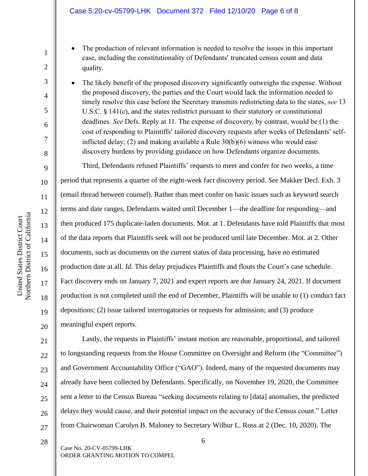#### Case 5:20-cv-05799-LHK Document 372 Filed 12/10/20 Page 6 of 8

- The production of relevant information is needed to resolve the issues in this important case, including the constitutionality of Defendants' truncated census count and data quality.
- The likely benefit of the proposed discovery significantly outweighs the expense. Without the proposed discovery, the parties and the Court would lack the information needed to timely resolve this case before the Secretary transmits redistricting data to the states, *see* 13 U.S.C. § 141(c), and the states redistrict pursuant to their statutory or constitutional deadlines. *See* Defs. Reply at 11. The expense of discovery, by contrast, would be (1) the cost of responding to Plaintiffs' tailored discovery requests after weeks of Defendants' selfinflicted delay; (2) and making available a Rule  $30(b)(6)$  witness who would ease discovery burdens by providing guidance on how Defendants organize documents.

Third, Defendants refused Plaintiffs' requests to meet and confer for two weeks, a time period that represents a quarter of the eight-week fact discovery period. *See* Makker Decl. Exh. 3 (email thread between counsel). Rather than meet confer on basic issues such as keyword search terms and date ranges, Defendants waited until December 1—the deadline for responding—and then produced 175 duplicate-laden documents. Mot. at 1. Defendants have told Plaintiffs that most of the data reports that Plaintiffs seek will not be produced until late December. Mot. at 2. Other documents, such as documents on the current status of data processing, have no estimated production date at all. *Id.* This delay prejudices Plaintiffs and flouts the Court's case schedule. Fact discovery ends on January 7, 2021 and expert reports are due January 24, 2021. If document production is not completed until the end of December, Plaintiffs will be unable to (1) conduct fact depositions; (2) issue tailored interrogatories or requests for admission; and (3) produce meaningful expert reports.

21 22 23 24  $25$ 26 27 Lastly, the requests in Plaintiffs' instant motion are reasonable, proportional, and tailored to longstanding requests from the House Committee on Oversight and Reform (the "Committee") and Government Accountability Office ("GAO"). Indeed, many of the requested documents may already have been collected by Defendants. Specifically, on November 19, 2020, the Committee sent a letter to the Census Bureau "seeking documents relating to [data] anomalies, the predicted delays they would cause, and their potential impact on the accuracy of the Census count." Letter from Chairwoman Carolyn B. Maloney to Secretary Wilbur L. Ross at 2 (Dec. 10, 2020). The

1

2

3

4

5

6

7

8

9

10

11

12

13

14

15

16

17

18

19

20

28

Case No. 20-CV-05799-LHK ORDER GRANTING MOTION TO COMPEL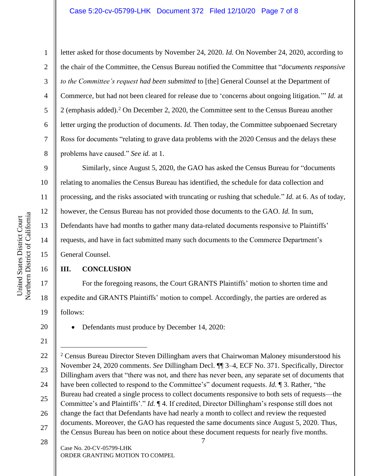#### Case 5:20-cv-05799-LHK Document 372 Filed 12/10/20 Page 7 of 8

1

2

3

4

5

6

7

8

16

17

18

19

20

21

letter asked for those documents by November 24, 2020. *Id.* On November 24, 2020, according to the chair of the Committee, the Census Bureau notified the Committee that "*documents responsive to the Committee's request had been submitted* to [the] General Counsel at the Department of Commerce, but had not been cleared for release due to 'concerns about ongoing litigation.'" *Id.* at 2 (emphasis added). <sup>2</sup> On December 2, 2020, the Committee sent to the Census Bureau another letter urging the production of documents. *Id.* Then today, the Committee subpoenaed Secretary Ross for documents "relating to grave data problems with the 2020 Census and the delays these problems have caused." *See id.* at 1.

9 10 11 12 13 14 15 Similarly, since August 5, 2020, the GAO has asked the Census Bureau for "documents relating to anomalies the Census Bureau has identified, the schedule for data collection and processing, and the risks associated with truncating or rushing that schedule." *Id.* at 6. As of today, however, the Census Bureau has not provided those documents to the GAO. *Id.* In sum, Defendants have had months to gather many data-related documents responsive to Plaintiffs' requests, and have in fact submitted many such documents to the Commerce Department's General Counsel.

# **III. CONCLUSION**

For the foregoing reasons, the Court GRANTS Plaintiffs' motion to shorten time and expedite and GRANTS Plaintiffs' motion to compel. Accordingly, the parties are ordered as follows:

• Defendants must produce by December 14, 2020:

Case No. 20-CV-05799-LHK ORDER GRANTING MOTION TO COMPEL

<sup>7</sup> 22 23 24 25 26 27 28 <sup>2</sup> Census Bureau Director Steven Dillingham avers that Chairwoman Maloney misunderstood his November 24, 2020 comments. *See* Dillingham Decl. ¶¶ 3–4, ECF No. 371. Specifically, Director Dillingham avers that "there was not, and there has never been, any separate set of documents that have been collected to respond to the Committee's" document requests. *Id.* ¶ 3. Rather, "the Bureau had created a single process to collect documents responsive to both sets of requests—the Committee's and Plaintiffs'." *Id.* ¶ 4. If credited, Director Dillingham's response still does not change the fact that Defendants have had nearly a month to collect and review the requested documents. Moreover, the GAO has requested the same documents since August 5, 2020. Thus, the Census Bureau has been on notice about these document requests for nearly five months.